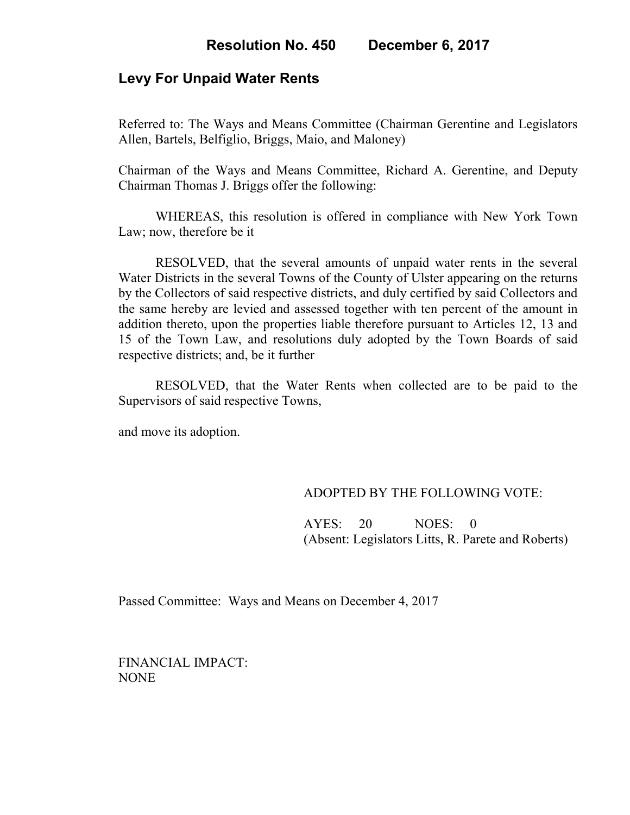## **Levy For Unpaid Water Rents**

Referred to: The Ways and Means Committee (Chairman Gerentine and Legislators Allen, Bartels, Belfiglio, Briggs, Maio, and Maloney)

Chairman of the Ways and Means Committee, Richard A. Gerentine, and Deputy Chairman Thomas J. Briggs offer the following:

WHEREAS, this resolution is offered in compliance with New York Town Law; now, therefore be it

RESOLVED, that the several amounts of unpaid water rents in the several Water Districts in the several Towns of the County of Ulster appearing on the returns by the Collectors of said respective districts, and duly certified by said Collectors and the same hereby are levied and assessed together with ten percent of the amount in addition thereto, upon the properties liable therefore pursuant to Articles 12, 13 and 15 of the Town Law, and resolutions duly adopted by the Town Boards of said respective districts; and, be it further

RESOLVED, that the Water Rents when collected are to be paid to the Supervisors of said respective Towns,

and move its adoption.

## ADOPTED BY THE FOLLOWING VOTE:

 AYES: 20 NOES: 0 (Absent: Legislators Litts, R. Parete and Roberts)

Passed Committee: Ways and Means on December 4, 2017

FINANCIAL IMPACT: NONE